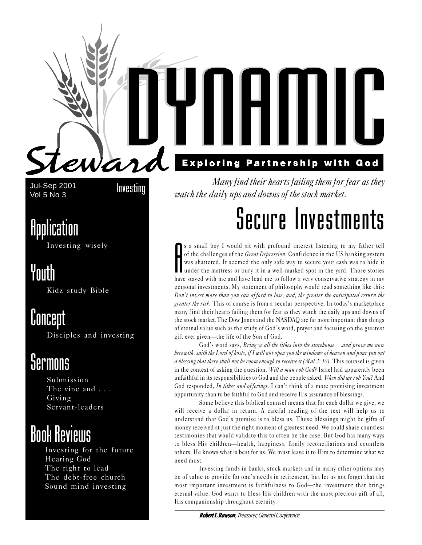



**Exploring Partnership with God** 

Jul-Sep 2001 Vol 5 No 3

Investing

# Application

Investing wisely

# Youth

Kidz study Bible

# Concept

Disciples and investing

# *<u>Sermons</u>*

Submission The vine and . . . Giving Servant-leaders

# Book Reviews

Investing for the future Hearing God The right to lead The debt-free church Sound mind investing

Many find their hearts failing them for fear as they watch the daily ups and downs of the stock market.

# Secure Investments

 $\begin{bmatrix} 1 \\ 2 \\ 3 \end{bmatrix}$ s a small boy I would sit with profound interest listening to my father tell of the challenges of the *Great Depression*. Confidence in the US banking system was shattered. It seemed the only safe way to secure your cash was to hide it under the mattress or bury it in a well-marked spot in the yard. Those stories have stayed with me and have lead me to follow a very conservative strategy in my personal investments. My statement of philosophy would read something like this: Don't invest more than you can afford to lose, and, the greater the anticipated return the greater the risk. This of course is from a secular perspective. In today's marketplace many find their hearts failing them for fear as they watch the daily ups and downs of the stock market.The Dow Jones and the NASDAQ are far more important than things of eternal value such as the study of God's word, prayer and focusing on the greatest gift ever given—the life of the Son of God.

God's word says, Bring ye all the tithes into the storehouse. . .and prove me now herewith, saith the Lord of hosts, if I will not open you the windows of heaven and pour you out a blessing that there shall not be room enough to receive it (Mal 3: 10). This counsel is given in the context of asking the question, Will a man rob God? Israel had apparently been unfaithful in its responsibilities to God and the people asked, When did we rob You? And God responded, In tithes and offerings. I can't think of a more promising investment opportunity than to be faithful to God and receive His assurance of blessings.

Some believe this biblical counsel means that for each dollar we give, we will receive a dollar in return. A careful reading of the text will help us to understand that God's promise is to bless us. Those blessings might be gifts of money received at just the right moment of greatest need. We could share countless testimonies that would validate this to often be the case. But God has many ways to bless His children—health, happiness, family reconciliations and countless others. He knows what is best for us. We must leave it to Him to determine what we need most.

Investing funds in banks, stock markets and in many other options may be of value to provide for one's needs in retirement, but let us not forget that the most important investment is faithfulness to God-the investment that brings eternal value. God wants to bless His children with the most precious gift of all, His companionship throughout eternity.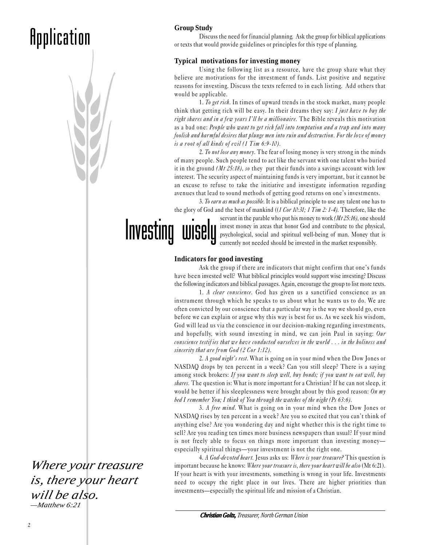# **Application**



### **Group Study**

Discuss the need for financial planning. Ask the group for biblical applications or texts that would provide guidelines or principles for this type of planning.

### **Typical motivations for investing money**

Using the following list as a resource, have the group share what they believe are motivations for the investment of funds. List positive and negative reasons for investing. Discuss the texts referred to in each listing. Add others that would be applicable.

1. To get rich. In times of upward trends in the stock market, many people think that getting rich will be easy. In their dreams they say: I just have to buy the right shares and in a few years I'll be a millionaire. The Bible reveals this motivation as a bad one: People who want to get rich fall into temptation and a trap and into many foolish and harmful desires that plunge men into ruin and destruction. For the love of money is a root of all kinds of evil  $(1$  Tim  $6:9-10)$ .

2. To not lose any money. The fear of losing money is very strong in the minds of many people. Such people tend to act like the servant with one talent who buried it in the ground  $(Mt 25:18)$ , so they put their funds into a savings account with low interest. The security aspect of maintaining funds is very important, but it cannot be an excuse to refuse to take the initiative and investigate information regarding avenues that lead to sound methods of getting good returns on one's investments.

3. To earn as much as possible. It is a biblical principle to use any talent one has to the glory of God and the best of mankind ((1 Cor 10:31; 1 Tim 2: 1-4). Therefore, like the

Investing wisely

servant in the parable who put his money to work  $(Mt 25:16)$ , one should invest money in areas that honor God and contribute to the physical, psychological, social and spiritual well-being of man. Money that is currently not needed should be invested in the market responsibly.

### **Indicators for good investing**

Ask the group if there are indicators that might confirm that one's funds have been invested well? What biblical principles would support wise investing? Discuss the following indicators and biblical passages. Again, encourage the group to list more texts.

1. A *clear conscience*. God has given us a sanctified conscience as an instrument through which he speaks to us about what he wants us to do. We are often convicted by our conscience that a particular way is the way we should go, even before we can explain or argue why this way is best for us. As we seek his wisdom, God will lead us via the conscience in our decision-making regarding investments, and hopefully, with sound investing in mind, we can join Paul in saying: Our conscience testif ies that we have conducted ourselves in the world . . . in the holiness and sincerity that are from God (2 Cor 1:12).

2. A good night's rest. What is going on in your mind when the Dow Jones or NASDAQ drops by ten percent in a week? Can you still sleep? There is a saying among stock brokers: If you want to sleep well, buy bonds; if you want to eat well, buy shares. The question is: What is more important for a Christian? If he can not sleep, it would be better if his sleeplessness were brought about by this good reason: On  $m\eta$ bed I remember You; I think of You through the watches of the night (Ps 63:6).

3. A free mind. What is going on in your mind when the Dow Jones or NASDAQ rises by ten percent in a week? Are you so excited that you can't think of anything else? Are you wondering day and night whether this is the right time to sell? Are you reading ten times more business newspapers than usual? If your mind is not freely able to focus on things more important than investing money especially spiritual things—your investment is not the right one.

4. A God-devoted heart. Jesus asks us: Where is your treasure? This question is important because he knows: Where your treasure is, there your heart will be also (Mt 6:21). If your heart is with your investments, something is wrong in your life. Investments need to occupy the right place in our lives. There are higher priorities than investments—especially the spiritual life and mission of a Christian.

*Christian Goltz, istian Treasurer, North German Union*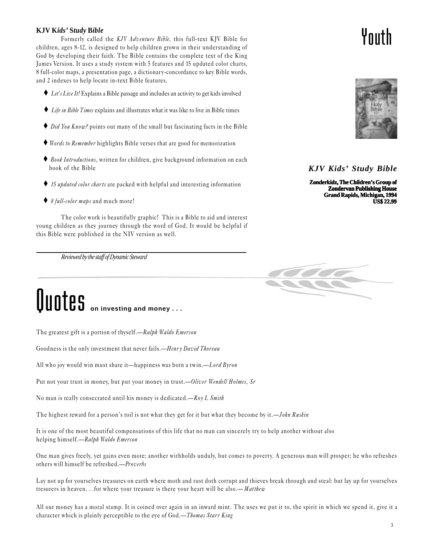**KJV Kids' Study Bible**<br>
Formerly called the *KJV Adventure Bible*, this full-text KJV Bible for<br>
children, ages 8-12, is designed to help children grown in their understanding of Formerly called the KJV Adventure Bible, this full-text KJV Bible for God by developing their faith. The Bible contains the complete text of the King James Version. It uses a study system with 5 features and 15 updated color charts, 8 full-color maps, a presentation page, a dictionary-concordance to key Bible words, and 2 indexes to help locate in-text Bible features.

- $\triangle$  Let's Live It! Explains a Bible passage and includes an activity to get kids involved
- ♦ Life in Bible Times explains and illustrates what it was like to live in Bible times
- ♦ Did You Know? points out many of the small but fascinating facts in the Bible
- ♦ Words to Remember highlights Bible verses that are good for memorization
- ♦ Book Introductions, written for children, give background information on each book of the Bible
- ♦ 15 updated color charts are packed with helpful and interesting information
- ♦ 8 full-color maps and much more!

The color work is beautifully graphic! This is a Bible to aid and interest young children as they journey through the word of God. It would be helpful if this Bible were published in the NIV version as well.

*Reviewed by the staff of Dynamic Steward*

# **Quotes** on investing and money . . .

The greatest gift is a portion of thyself.—Ralph Waldo Emerson

Goodness is the only investment that never fails.—Henry David Thoreau

All who joy would win must share it—happiness was born a twin.—Lord Byron

Put not your trust in money, but put your money in trust. *-Oliver Wendell Holmes, Sr* 

No man is really consecrated until his money is dedicated.— $Rov L$  Smith

The highest reward for a person's toil is not what they get for it but what they become by it.—*John Ruskin* 

It is one of the most beautiful compensations of this life that no man can sincerely try to help another without also helping himself.-Ralph Waldo Emerson

One man gives freely, yet gains even more; another withholds unduly, but comes to poverty. A generous man will prosper; he who refreshes others will himself be refreshed.-Proverbs

Lay not up for yourselves treasures on earth where moth and rust doth corrupt and thieves break through and steal: but lay up for yourselves tresurers in heaven. . .for where your treasure is there your heart will be also.— Matthew

All our money has a moral stamp. It is coined over again in an inward mint. The uses we put it to, the spirit in which we spend it, give it a character which is plainly perceptible to the eye of God.—*Thomas Starr King* 



# *KJV Kids' Study Bible*

**Zonderkidz, The Children's Group of Zondervan Publishing House Grand Rapids, Michigan, 1994 US\$ 22.99**

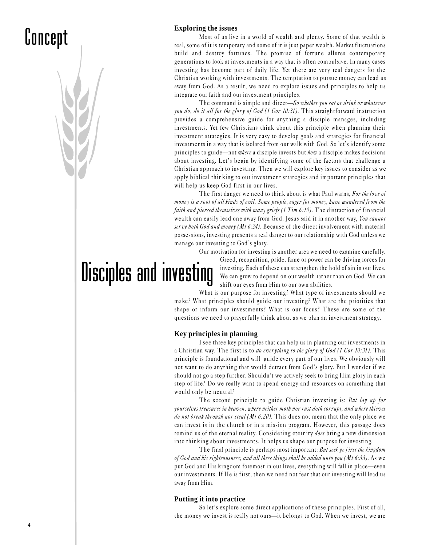# Concept

### **Exploring the issues**

Most of us live in a world of wealth and plenty. Some of that wealth is real, some of it is temporary and some of it is just paper wealth. Market fluctuations build and destroy fortunes. The promise of fortune allures contemporary generations to look at investments in a way that is often compulsive. In many cases investing has become part of daily life. Yet there are very real dangers for the Christian working with investments. The temptation to pursue money can lead us away from God. As a result, we need to explore issues and principles to help us integrate our faith and our investment principles.

The command is simple and direct—So whether you eat or drink or whatever you do, do it all for the glory of God (1 Cor 10:31). This straightforward instruction provides a comprehensive guide for anything a disciple manages, including investments. Yet few Christians think about this principle when planning their investment strategies. It is very easy to develop goals and strategies for financial investments in a way that is isolated from our walk with God. So let's identify some principles to guide—not where a disciple invests but how a disciple makes decisions about investing. Let's begin by identifying some of the factors that challenge a Christian approach to investing. Then we will explore key issues to consider as we apply biblical thinking to our investment strategies and important principles that will help us keep God first in our lives.

The first danger we need to think about is what Paul warns, For the love of money is a root of all kinds of evil. Some people, eager for money, have wandered from the faith and pierced themselves with many griefs (1 Tim 6:10). The distraction of financial wealth can easily lead one away from God. Jesus said it in another way, You cannot serve both God and money (Mt 6:24). Because of the direct involvement with material possessions, investing presents a real danger to our relationship with God unless we manage our investing to God's glory.

Our motivation for investing is another area we need to examine carefully.

Disciples and investing

Greed, recognition, pride, fame or power can be driving forces for investing. Each of these can strengthen the hold of sin in our lives. We can grow to depend on our wealth rather than on God. We can shift our eyes from Him to our own abilities.

What is our purpose for investing? What type of investments should we make? What principles should guide our investing? What are the priorities that shape or inform our investments? What is our focus? These are some of the questions we need to prayer fully think about as we plan an investment strategy.

### **Key principles in planning**

I see three key principles that can help us in planning our investments in a Christian way. The first is to do everything to the glory of God (1 Cor 10:31). This principle is foundational and will guide every part of our lives. We obviously will not want to do anything that would detract from God's glory. But I wonder if we should not go a step further. Shouldn't we actively seek to bring Him glory in each step of life? Do we really want to spend energy and resources on something that would only be neutral?

The second principle to guide Christian investing is: But lay up for yourselves treasures in heaven, where neither moth nor rust doth corrupt, and where thieves do not break through nor steal (Mt 6:20). This does not mean that the only place we can invest is in the church or in a mission program. However, this passage does remind us of the eternal reality. Considering eternity *does* bring a new dimension into thinking about investments. It helps us shape our purpose for investing.

The final principle is perhaps most important: But seek ye first the kingdom of God and his righteousness; and all these things shall be added unto you (Mt 6:33). As we put God and His kingdom foremost in our lives, everything will fall in place—even our investments. If He is first, then we need not fear that our investing will lead us away from Him.

### **Putting it into practice**

So let's explore some direct applications of these principles. First of all, the money we invest is really not ours—it belongs to God. When we invest, we are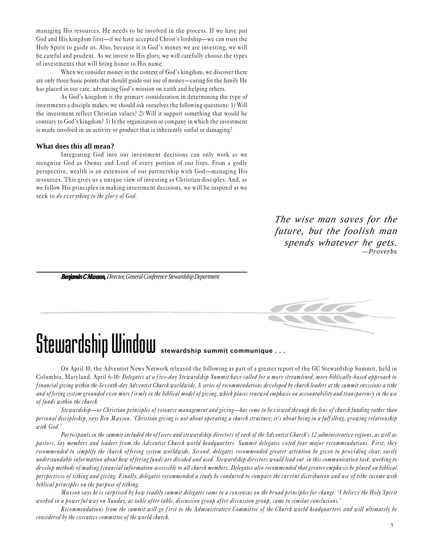managing His resources. He needs to be involved in the process. If we have put God and His kingdom first—if we have accepted Christ's lordship—we can trust the Holy Spirit to guide us. Also, because it is God's money we are investing, we will be careful and prudent. As we invest to His glory, we will carefully choose the types of investments that will bring honor to His name.

When we consider money in the context of God's kingdom, we discover there are only three basic points that should guide our use of money—caring for the family He has placed in our care, advancing God's mission on earth and helping others.

As God's kingdom is the primary consideration in determining the type of investments a disciple makes, we should ask ourselves the following questions: 1) Will the investment reflect Christian values? 2) Will it support something that would be contrary to God's kingdom? 3) Is the organization or company in which the investment is made involved in an activity or product that is inherently sinful or damaging?

### **What does this all mean?**

Integrating God into our investment decisions can only work as we recognize God as Owner and Lord of every portion of our lives. From a godly perspective, wealth is an extension of our partnership with God—managing His resources. This gives us a unique view of investing as Christian disciples. And, as we follow His principles in making investment decisions, we will be inspired as we seek to do everything to the glory of God.

> *The wise man saves for the future, but the foolish man spends whatever he gets. —Proverbs*

*Benjamin C Maxson, Director, General Conference Stewardship Department*



# Stewardship Window **stewardship summit communique . . .**

On April 10, the Adventist News Network released the following as part of a greater report of the GC Stewardship Summit, held in Columbia, Maryland, April 6-10: Delegates at a five-day Stewardship Summit have called for a more streamlined, more biblically-based approach to financial giving within the Seventh-day Adventist Church worldwide. A series of recommendations developed by church leaders at the summit envisions a tithe and offering system grounded even more firmly in the biblical model of giving, which places renewed emphasis on accountability and transparency in the use of funds within the church.

Stewardship—or Christian principles of resource management and giving—has come to be viewed through the lens of church funding rather than personal discipleship, says Ben Maxson. 'Christian giving is not about operating a church structure; it's about being in a fulf illing, growing relationship with God.'

Participants in the summit included the officers and stewardship directors of each of the Adventist Church's 12 administrative regions, as well as pastors, lay members and leaders from the Adventist Church world headquarters. Summit delegates voted four major recommendations. First, they recommended to simplify the church offering system worldwide. Second, delegates recommended greater attention be given to providing clear, easily understandable information about how of fering funds are divided and used. Stewardship directors would lead out in this communication task, working to develop methods of making financial information accessible to all church members. Delegates also recommended that greater emphasis be placed on biblical perspectives of tithing and giving. Finally, delegates recommended a study be conducted to compare the current distribution and use of tithe income with biblical principles on the purpose of tithing.

Maxson says he is surprised by how readily summit delegates came to a consensus on the broad principles for change. I believe the Holy Spirit worked in a powerful way on Sunday, as table after table, discussion group after discussion group, came to similar conclusions.

Recommendations from the summit will go first to the Administrative Committee of the Church world headquarters and will ultimately be considered by the executive committee of the world church.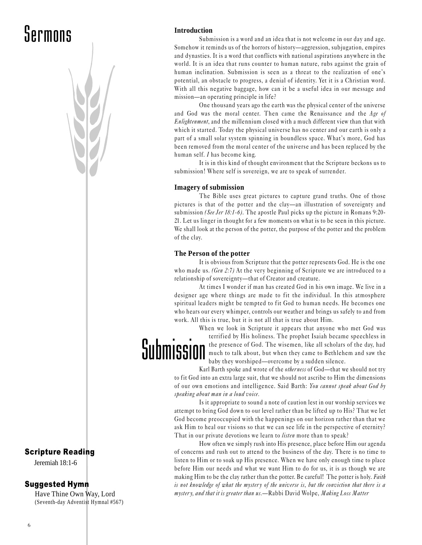# Scripture Reading

Jeremiah 18:1-6

# Suggested Hymn

Have Thine Own Way, Lord (Seventh-day Adventist Hymnal #567)

# **Introduction**

Submission is a word and an idea that is not welcome in our day and age. Somehow it reminds us of the horrors of history—aggression, subjugation, empires and dynasties. It is a word that conflicts with national aspirations anywhere in the world. It is an idea that runs counter to human nature, rubs against the grain of human inclination. Submission is seen as a threat to the realization of one's potential, an obstacle to progress, a denial of identity. Yet it is a Christian word. With all this negative baggage, how can it be a useful idea in our message and mission—an operating principle in life?

One thousand years ago the earth was the physical center of the universe and God was the moral center. Then came the Renaissance and the Age of Enlightenment, and the millennium closed with a much different view than that with which it started. Today the physical universe has no center and our earth is only a part of a small solar system spinning in boundless space. What's more, God has been removed from the moral center of the universe and has been replaced by the human self. I has become king.

It is in this kind of thought environment that the Scripture beckons us to submission! Where self is sovereign, we are to speak of surrender.

### **Imagery of submission**

The Bible uses great pictures to capture grand truths. One of those pictures is that of the potter and the clay—an illustration of sovereignty and submission (See Jer 18:1-6). The apostle Paul picks up the picture in Romans 9:20-21. Let us linger in thought for a few moments on what is to be seen in this picture. We shall look at the person of the potter, the purpose of the potter and the problem of the clay.

### **The Person of the potter**

It is obvious from Scripture that the potter represents God. He is the one who made us. (Gen 2:7) At the very beginning of Scripture we are introduced to a relationship of sovereignty-that of Creator and creature.

At times I wonder if man has created God in his own image. We live in a designer age where things are made to fit the individual. In this atmosphere spiritual leaders might be tempted to fit God to human needs. He becomes one who hears our every whimper, controls our weather and brings us safely to and from work. All this is true, but it is not all that is true about Him.

Submission When we look in Scripture it appears that anyone who met God was terrified by His holiness. The prophet Isaiah became speechless in the presence of God. The wisemen, like all scholars of the day, had much to talk about, but when they came to Bethlehem and saw the baby they worshiped—overcome by a sudden silence.

Karl Barth spoke and wrote of the otherness of God-that we should not try to fit God into an extra large suit, that we should not ascribe to Him the dimensions of our own emotions and intelligence. Said Barth: You cannot speak about God by speaking about man in a loud voice.

Is it appropriate to sound a note of caution lest in our worship services we attempt to bring God down to our level rather than be lifted up to His? That we let God become preoccupied with the happenings on our horizon rather than that we ask Him to heal our visions so that we can see life in the perspective of eternity? That in our private devotions we learn to *listen* more than to speak?

How often we simply rush into His presence, place before Him our agenda of concerns and rush out to attend to the business of the day. There is no time to listen to Him or to soak up His presence. When we have only enough time to place before Him our needs and what we want Him to do for us, it is as though we are making Him to be the clay rather than the potter. Be careful! The potter is holy. Faith is not knowledge of what the mystery of the universe is, but the conviction that there is a mystery, and that it is greater than  $us$ —Rabbi David Wolpe, Making Loss Matter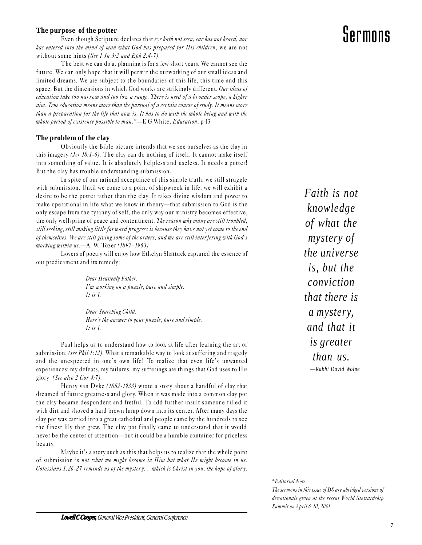### **The purpose of the potter**

Even though Scripture declares that eye hath not seen, ear has not heard, nor has entered into the mind of man what God has prepared for His children, we are not without some hints (See 1 Jn 3:2 and Eph 2:4-7).

The best we can do at planning is for a few short years. We cannot see the future. We can only hope that it will permit the outworking of our small ideas and limited dreams. We are subject to the boundaries of this life, this time and this space. But the dimensions in which God works are strikingly different. Our ideas of education take too narrow and too low a range. There is need of a broader scope, a higher aim. True education means more than the pursual of a certain course of study. It means more than a preparation for the life that now is. It has to do with the whole being and with the whole period of existence possible to man."—E G White, Education, p  $13$ 

### **The problem of the clay**

Obviously the Bible picture intends that we see ourselves as the clay in this imagery (Jer 18:1-6). The clay can do nothing of itself. It cannot make itself into something of value. It is absolutely helpless and useless. It needs a potter! But the clay has trouble understanding submission.

In spite of our rational acceptance of this simple truth, we still struggle with submission. Until we come to a point of shipwreck in life, we will exhibit a desire to be the potter rather than the clay. It takes divine wisdom and power to make operational in life what we know in theory-that submission to God is the only escape from the tyranny of self, the only way our ministry becomes effective, the only wellspring of peace and contentment. The reason why many are still troubled, still seeking, still making little for ward progress is because they have not yet come to the end of themselves. We are still giving some of the orders, and we are still interfering with God's working within  $us. -A.$  W. Tozer (1897-1963)

Lovers of poetry will enjoy how Ethelyn Shattuck captured the essence of our predicament and its remedy:

> Dear Heavenly Father: Im working on a puzzle, pure and simple. It is I.

Dear Searching Child: Here's the answer to your puzzle, pure and simple. It is  $I$ .

Paul helps us to understand how to look at life after learning the art of submission. (see Phil 1:12). What a remarkable way to look at suffering and tragedy and the unexpected in one's own life! To realize that even life's unwanted experiences: my defeats, my failures, my sufferings are things that God uses to His glory (See also 2 Cor 4:7).

Henry van Dyke (1852-1933) wrote a story about a handful of clay that dreamed of future greatness and glory. When it was made into a common clay pot the clay became despondent and fretful. To add further insult someone filled it with dirt and shoved a hard brown lump down into its center. After many days the clay pot was carried into a great cathedral and people came by the hundreds to see the finest lily that grew. The clay pot finally came to understand that it would never be the center of attention—but it could be a humble container for priceless beauty.

Maybe it's a story such as this that helps us to realize that the whole point of submission is not what we might become in Him but what He might become in us. Colossians 1:26-27 reminds us of the myster y. . .which is Christ in you, the hope of glor y.

*Faith is not knowledge of what the mystery of the universe is, but the conviction that there is a mystery, and that it is greater than us.* —*Rabbi David Wolpe*

# Sermons

\*Editorial Note:

The sermons in this issue of DS are abridged versions of devotionals given at the recent World Stewardship Summit on April 6-10, 2001.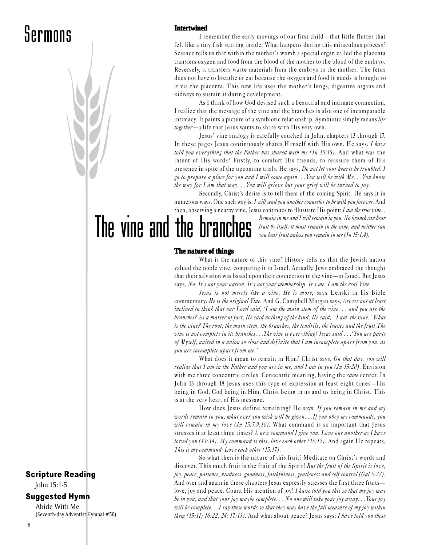### **Intertwined**

I remember the early movings of our first child—that little flutter that felt like a tiny fish stirring inside. What happens during this miraculous process? Science tells us that within the mother's womb a special organ called the placenta transfers oxygen and food from the blood of the mother to the blood of the embryo. Reversely, it transfers waste materials from the embryo to the mother. The fetus does not have to breathe or eat because the oxygen and food it needs is brought to it via the placenta. This new life uses the mother's lungs, digestive organs and kidneys to sustain it during development.

As I think of how God devised such a beautiful and intimate connection, I realize that the message of the vine and the branches is also one of incomparable intimacy. It paints a picture of a symbiotic relationship. Symbiotic simply means life *together*—a life that Jesus wants to share with His very own.

Jesus' vine analogy is carefully couched in John, chapters 13 through 17. In these pages Jesus continuously shares Himself with His own. He says, I have told you everything that the Father has shared with me  $(In 15:15)$ . And what was the intent of His words? Firstly, to comfort His friends, to reassure them of His presence in spite of the upcoming trials. He says, *Do not let your hearts be troubled.* I go to prepare a place for you and I will come again. . .You will be with Me. . .You know the way for I am that way. . .You will grieve but your grief will be turned to joy.

Secondly, Christ's desire is to tell them of the coming Spirit. He says it in numerous ways. One such way is: I will send you another counselor to be with you forever. And then, observing a nearby vine, Jesus continues to illustrate His point: I am the true vine...

> Remain in me and I will remain in you. No branch can bear fruit by itself, it must remain in the vine, and neither can you bear fruit unless you remain in me (Jn 15:1,4).

#### **The nature of things**

The vine and the branches

What is the nature of this vine? History tells us that the Jewish nation valued the noble vine, comparing it to Israel. Actually, Jews embraced the thought that their salvation was based upon their connection to the vine-or Israel. But Jesus says, No, It's not your nation. It's not your membership. It's me. I am the real Vine.

Jesus is not merely like a vine, He is more, says Lenski in his Bible commentary. He is the original Vine. And G. Campbell Morgan says, Are we not at least inclined to think that our Lord said, I am the main stem of the vine. . . and you are the branches? As a matter of fact, He said nothing of the kind. He said, 'I am the vine.' What is the vine? The root, the main stem, the branches, the tendrils, the leaves and the fruit.The vine is not complete in its branches...The vine is ever ything! Jesus said...'You are parts of Myself, united in a union so close and definite that I am incomplete apart from you, as you are incomplete apart from me.

What does it mean to remain in Him? Christ says, On that day, you will realize that I am in the Father and you are in me, and I am in you  $(In 15:20)$ . Envision with me three concentric circles. Concentric meaning, having the same center. In John 13 through 18 Jesus uses this type of expression at least eight times—His being in God, God being in Him, Christ being in us and us being in Christ. This is at the very heart of His message.

How does Jesus define remaining? He says, If you remain in me and my words remain in you, what ever you wish will be given. . .If you obey my commands, you will remain in my love  $(In 15:7, 9, 10)$ . What command is so important that Jesus stresses it at least three times? A new command I give you. Love one another as I have loved you (13:34). My command is this, love each other (15:12). And again He repeats, This is  $my\ command: Love\ each\ other\ (15:17).$ 

So what then is the nature of this fruit? Meditate on Christ's words and discover. This much fruit is the fruit of the Spirit! But the fruit of the Spirit is love, joy, peace, patience, kindness, goodness, faithfulness, gentleness and self control (Gal 5:22). And over and again in these chapters Jesus expressly stresses the first three fruits love, joy and peace. Count His mention of joy! I have told you this so that my joy may be in you, and that your joy maybe complete. . . No one will take your joy away. . . Your joy will be complete. . .I say these words so that they may have the full measure of my joy within them  $(15:11; 16:22, 24; 17:13)$ . And what about peace? Jesus says: I have told you these

# Scripture Reading

John 15:1-5

### Suggested Hymn

Abide With Me (Seventh-day Adventist Hymnal #50)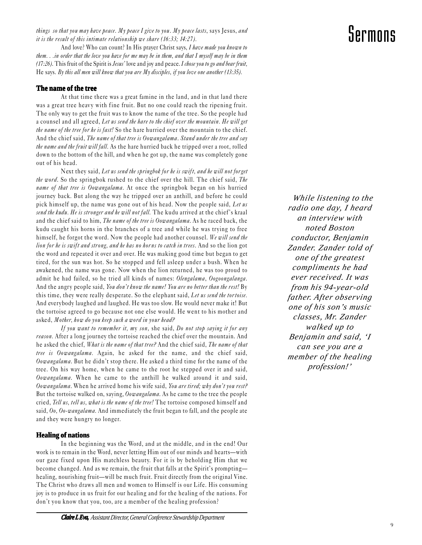things so that you may have peace. My peace I give to you. My peace lasts, says Jesus, and it is the result of this intimate relationship we share  $(16:33; 14:27)$ .

And love? Who can count? In His prayer Christ says, I have made you known to them. . .in order that the love you have for me may be in them, and that I myself may be in them  $(17:26)$ . This fruit of the Spirit is Jesus' love and joy and peace. I chose you to go and bear fruit, He says. By this all men will know that you are My disciples, if you love one another (13:35).

# **The name of the tree**

At that time there was a great famine in the land, and in that land there was a great tree heavy with fine fruit. But no one could reach the ripening fruit. The only way to get the fruit was to know the name of the tree. So the people had a counsel and all agreed, Let us send the hare to the chief over the mountain. He will get the name of the tree for he is fast! So the hare hurried over the mountain to the chief. And the chief said, The name of that tree is Oowangalama. Stand under the tree and say the name and the fruit will fall. As the hare hurried back he tripped over a root, rolled down to the bottom of the hill, and when he got up, the name was completely gone out of his head.

Next they said, Let us send the springbok for he is swift, and he will not forget the word. So the springbok rushed to the chief over the hill. The chief said, The name of that tree is Oowangalama. At once the springbok began on his hurried journey back. But along the way he tripped over an anthill, and before he could pick himself up, the name was gone out of his head. Now the people said, Let us send the kudu. He is stronger and he will not fall. The kudu arrived at the chief's kraal and the chief said to him, The name of the tree is Oowangalama. As he raced back, the kudu caught his horns in the branches of a tree and while he was trying to free himself, he forgot the word. Now the people had another counsel. We will send the lion for he is swift and strong, and he has no horns to catch in trees. And so the lion got the word and repeated it over and over. He was making good time but began to get tired, for the sun was hot. So he stopped and fell asleep under a bush. When he awakened, the name was gone. Now when the lion returned, he was too proud to admit he had failed, so he tried all kinds of names: Olengalama, Oogoongalanga. And the angry people said, You don't know the name! You are no better than the rest! By this time, they were really desperate. So the elephant said, Let us send the tortoise. And everybody laughed and laughed. He was too slow. He would never make it! But the tortoise agreed to go because not one else would. He went to his mother and asked, Mother, how do you keep such a word in your head?

If you want to remember it, my son, she said, Do not stop saying it for any reason. After a long journey the tortoise reached the chief over the mountain. And he asked the chief, What is the name of that tree? And the chief said, The name of that tree is Oowangalama. Again, he asked for the name, and the chief said,  $\omega$ owangalama. But he didn't stop there. He asked a third time for the name of the tree. On his way home, when he came to the root he stepped over it and said, Oowangalama. When he came to the anthill he walked around it and said, Oowangalama. When he arrived home his wife said, You are tired; why don't you rest? But the tortoise walked on, saying, *Oowangalama*. As he came to the tree the people cried, Tell us, tell us, what is the name of the tree! The tortoise composed himself and said,  $0<sub>0</sub>$ ,  $0<sub>0</sub>$ -wangalama. And immediately the fruit began to fall, and the people ate and they were hungry no longer.

### **Healing of nations**

In the beginning was the Word, and at the middle, and in the end! Our work is to remain in the Word, never letting Him out of our minds and hearts—with our gaze fixed upon His matchless beauty. For it is by beholding Him that we become changed. And as we remain, the fruit that falls at the Spirit's promptinghealing, nourishing fruit—will be much fruit. Fruit directly from the original Vine. The Christ who draws all men and women to Himself is our Life. His consuming joy is to produce in us fruit for our healing and for the healing of the nations. For don't you know that you, too, are a member of the healing profession?

*While listening to the radio one day, I heard an interview with noted Boston conductor, Benjamin Zander. Zander told of one of the greatest compliments he had ever received. It was from his 94-year-old father. After observing one of his son's music classes, Mr. Zander walked up to Benjamin and said, 'I can see you are a member of the healing profession!'*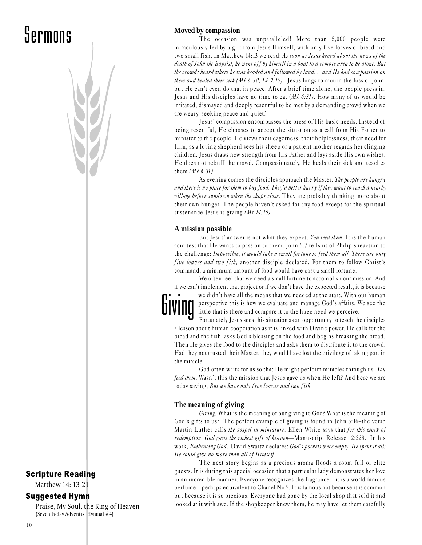# Scripture Reading

Matthew 14: 13-21

# Suggested Hymn

Praise, My Soul, the King of Heaven (Seventh-day Adventist Hymnal #4)

# **Moved by compassion**

The occasion was unparalleled! More than 5,000 people were miraculously fed by a gift from Jesus Himself, with only five loaves of bread and two small fish. In Matthew 14:13 we read: As soon as Jesus heard about the news of the death of John the Baptist, he went off by himself in a boat to a remote area to be alone. But the crowds heard where he was headed and followed by land. . .and He had compassion on them and healed their sick (Mk 6:30; Lk 9:10). Jesus longs to mourn the loss of John, but He can't even do that in peace. After a brief time alone, the people press in. Jesus and His disciples have no time to eat  $(Mk 6:31)$ . How many of us would be irritated, dismayed and deeply resentful to be met by a demanding crowd when we are weary, seeking peace and quiet?

Jesus' compassion encompasses the press of His basic needs. Instead of being resentful, He chooses to accept the situation as a call from His Father to minister to the people. He views their eagerness, their helplessness, their need for Him, as a loving shepherd sees his sheep or a patient mother regards her clinging children. Jesus draws new strength from His Father and lays aside His own wishes. He does not rebuff the crowd. Compassionately, He heals their sick and teaches them (Mk 6.31).

As evening comes the disciples approach the Master: The people are hungry and there is no place for them to buy food. They'd better hurry if they want to reach a nearby village before sundown when the shops close. They are probably thinking more about their own hunger. The people haven't asked for any food except for the spiritual sustenance Jesus is giving (Mt 14:16).

### **A mission possible**

But Jesus' answer is not what they expect. You feed them. It is the human acid test that He wants to pass on to them. John 6:7 tells us of Philip's reaction to the challenge: Impossible, it would take a small fortune to feed them all. There are only five loaves and two fish, another disciple declared. For them to follow Christ's command, a minimum amount of food would have cost a small fortune.

We often feel that we need a small fortune to accomplish our mission. And if we can't implement that project or if we don't have the expected result, it is because we didn't have all the means that we needed at the start. With our human



perspective this is how we evaluate and manage God's affairs. We see the little that is there and compare it to the huge need we perceive.

Fortunately Jesus sees this situation as an opportunity to teach the disciples a lesson about human cooperation as it is linked with Divine power. He calls for the bread and the fish, asks God's blessing on the food and begins breaking the bread. Then He gives the food to the disciples and asks them to distribute it to the crowd. Had they not trusted their Master, they would have lost the privilege of taking part in the miracle.

God often waits for us so that He might perform miracles through us. You feed them. Wasn't this the mission that Jesus gave us when He left? And here we are today saying, But we have only five loaves and two fish.

# **The meaning of giving**

Giving. What is the meaning of our giving to God? What is the meaning of God's gifts to us? The perfect example of giving is found in John 3:16-the verse Martin Luther calls the gospel in miniature. Ellen White says that for this work of redemption, God gave the richest gift of heaven-Manuscript Release 12:228. In his work, Embracing God, David Swartz declares: God's pockets were empty. He spent it all; He could give no more than all of Himself.

The next story begins as a precious aroma floods a room full of elite guests. It is during this special occasion that a particular lady demonstrates her love in an incredible manner. Everyone recognizes the fragrance—it is a world famous perfume—perhaps equivalent to Chanel No 5. It is famous not because it is common but because it is so precious. Everyone had gone by the local shop that sold it and looked at it with awe. If the shopkeeper knew them, he may have let them carefully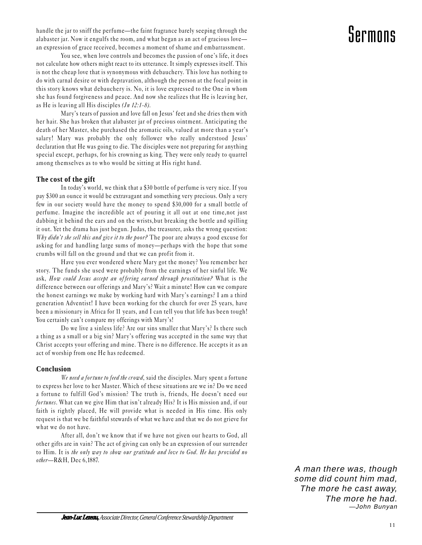handle the jar to sniff the perfume—the faint fragrance barely seeping through the alabaster jar. Now it engulfs the room, and what began as an act of gracious love an expression of grace received, becomes a moment of shame and embarrassment.

You see, when love controls and becomes the passion of one's life, it does not calculate how others might react to its utterance. It simply expresses itself. This is not the cheap love that is synonymous with debauchery. This love has nothing to do with carnal desire or with depravation, although the person at the focal point in this story knows what debauchery is. No, it is love expressed to the One in whom she has found forgiveness and peace. And now she realizes that He is leaving her, as He is leaving all His disciples  $( Jn 12:1-8)$ .

Mary's tears of passion and love fall on Jesus' feet and she dries them with her hair. She has broken that alabaster jar of precious ointment. Anticipating the death of her Master, she purchased the aromatic oils, valued at more than a year's salary! Mary was probably the only follower who really understood Jesus' declaration that He was going to die. The disciples were not preparing for anything special except, perhaps, for his crowning as king. They were only ready to quarrel among themselves as to who would be sitting at His right hand.

### **The cost of the gift**

In today's world, we think that a \$30 bottle of perfume is very nice. If you pay \$300 an ounce it would be extravagant and something very precious. Only a very few in our society would have the money to spend \$30,000 for a small bottle of perfume. Imagine the incredible act of pouring it all out at one time,not just dabbing it behind the ears and on the wrists,but breaking the bottle and spilling it out. Yet the drama has just begun. Judas, the treasurer, asks the wrong question: Why didn't she sell this and give it to the poor? The poor are always a good excuse for asking for and handling large sums of money—perhaps with the hope that some crumbs will fall on the ground and that we can profit from it.

Have you ever wondered where Mary got the money? You remember her story. The funds she used were probably from the earnings of her sinful life. We ask, How could Jesus accept an offering earned through prostitution? What is the difference between our offerings and Mary's? Wait a minute! How can we compare the honest earnings we make by working hard with Mary's earnings? I am a third generation Adventist! I have been working for the church for over 25 years, have been a missionary in Africa for 11 years, and I can tell you that life has been tough! You certainly can't compare my offerings with Mary's!

Do we live a sinless life? Are our sins smaller that Mary's? Is there such a thing as a small or a big sin? Mary's offering was accepted in the same way that Christ accepts your offering and mine. There is no difference. He accepts it as an act of worship from one He has redeemed.

# **Conclusion**

We need a fortune to feed the crowd, said the disciples. Mary spent a fortune to express her love to her Master. Which of these situations are we in? Do we need a fortune to fulfill God's mission? The truth is, friends, He doesn't need our fortunes. What can we give Him that isn't already His? It is His mission and, if our faith is rightly placed, He will provide what is needed in His time. His only request is that we be faithful stewards of what we have and that we do not grieve for what we do not have.

After all, don't we know that if we have not given our hearts to God, all other gifts are in vain? The act of giving can only be an expression of our surrender to Him. It is the only way to show our gratitude and love to God. He has provided no other-R&H, Dec 6,1887.

> A man there was, though some did count him mad, The more he cast away, The more he had. —John Bunyan

# Sermons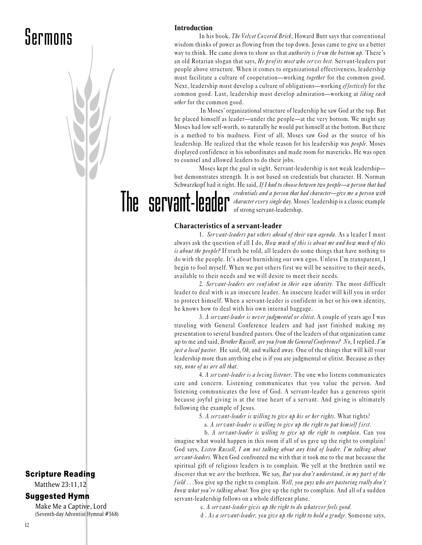### **Introduction**

In his book, *The Velvet Covered Brick*, Howard Butt says that conventional wisdom thinks of power as flowing from the top down. Jesus came to give us a better way to think. He came down to show us that *authority is from the bottom up*. There's an old Rotarian slogan that says, He profits most who serves best. Servant-leaders put people above structure. When it comes to organizational effectiveness, leadership must facilitate a culture of cooperation—working *together* for the common good. Next, leadership must develop a culture of obligations—working effectively for the common good. Last, leadership must develop admiration-working at liking each other for the common good.

In Moses' organizational structure of leadership he saw God at the top. But he placed himself as leader—under the people—at the very bottom. We might say Moses had low self-worth, so naturally he would put himself at the bottom. But there is a method to his madness. First of all, Moses saw God as the source of his leadership. He realized that the whole reason for his leadership was *people*. Moses displayed confidence in his subordinates and made room for mavericks. He was open to counsel and allowed leaders to do their jobs.

Moses kept the goal in sight. Servant-leadership is not weak leadership but demonstrates strength. It is not based on credentials but character. H. Norman Schwarzkopf had it right. He said, If I had to choose between two people—a person that had

The servant-leader of strong servant-leadership.

credentials and a person that had character—give me a person with *character every single day*. Moses' leadership is a classic example

### **Characteristics of a servant-leader**

1. Servant-leaders put others ahead of their own agenda. As a leader I must always ask the question of all I do, How much of this is about me and how much of this is about the people? If truth be told, all leaders do some things that have nothing to do with the people. It's about burnishing our own egos. Unless I'm transparent, I begin to fool myself. When we put others first we will be sensitive to their needs, available to their needs and we will desire to meet their needs.

2. Servant-leaders are confident in their own identity. The most difficult leader to deal with is an insecure leader. An insecure leader will kill you in order to protect himself. When a servant-leader is conf ident in her or his own identity, he knows how to deal with his own internal baggage.

3. A servant-leader is never judgmental or elitist. A couple of years ago I was traveling with General Conference leaders and had just finished making my presentation to several hundred pastors. One of the leaders of that organization came up to me and said, Brother Russell, are you from the General Conference? No, I replied. I'm *just a local pastor.* He said,  $Oh$ , and walked away. One of the things that will kill your leadership more than anything else is if you are judgmental or elitist. Because as they say, none of us are all that.

4. A servant-leader is a loving listener. The one who listens communicates care and concern. Listening communicates that you value the person. And listening communicates the love of God. A servant-leader has a generous spirit because joyful giving is at the true heart of a servant. And giving is ultimately following the example of Jesus.

5. A ser vant-leader is willing to give up his or her rights. What rights?

a. A servant-leader is willing to give up the right to put himself first.

b. A servant-leader is willing to give up the right to complain. Can you imagine what would happen in this room if all of us gave up the right to complain? God says, Listen Russell, I am not talking about any kind of leader. I'm talking about servant-leaders. When God confronted me with that it took me to the mat because the spiritual gift of religious leaders is to complain. We yell at the brethren until we discover that we are the brethren. We say, But you don't understand, in my part of the field ... You give up the right to complain. Well, you guys who are pastoring really don't  $k$ now what you're talking about. You give up the right to complain. And all of a sudden servant-leadership follows on a whole different plane.

c. A ser vant-leader gives up the right to do whatever feels good.

d. As a servant-leader, you give up the right to hold a grudge. Someone says,

# Scripture Reading

Matthew 23:11,12

### Suggested Hymn

Make Me a Captive, Lord (Seventh-day Adventist Hymnal #568)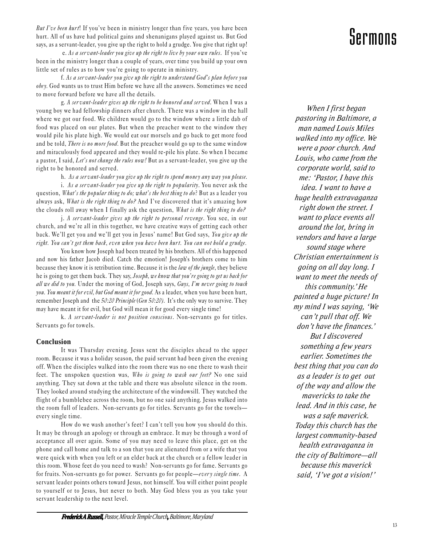But I've been hurt! If you've been in ministry longer than five years, you have been hurt. All of us have had political gains and shenanigans played against us. But God says, as a servant-leader, you give up the right to hold a grudge. You give that right up!

e. As a servant-leader you give up the right to live by your own rules. If you've been in the ministry longer than a couple of years, over time you build up your own little set of rules as to how you're going to operate in ministry.

f. As a servant-leader you give up the right to understand God's plan before you obey. God wants us to trust Him before we have all the answers. Sometimes we need to move forward before we have all the details.

g. A ser vant-leader gives up the right to be honored and ser ved. When I was a young boy we had fellowship dinners after church. There was a window in the hall where we got our food. We children would go to the window where a little dab of food was placed on our plates. But when the preacher went to the window they would pile his plate high. We would eat our morsels and go back to get more food and be told, *There is no more food*. But the preacher would go up to the same window and miraculously food appeared and they would re-pile his plate. So when I became a pastor, I said, Let's not change the rules now! But as a servant-leader, you give up the right to be honored and served.

h. As a ser vant-leader you give up the right to spend money any way you please.

i. As a ser vant-leader you give up the right to popularity. You never ask the question, What's the popular thing to do; what's the best thing to do? But as a leader you always ask, What is the right thing to do? And I've discovered that it's amazing how the clouds roll away when I finally ask the question, What is the right thing to do?

j. A servant-leader gives up the right to personal revenge. You see, in our church, and we're all in this together, we have creative ways of getting each other back. We'll get you and we'll get you in Jesus' name! But God says, You give up the right. You can't get them back, even when you have been hurt. You can not hold a grudge.

You know how Joseph had been treated by his brothers. All of this happened and now his father Jacob died. Catch the emotion! Joseph's brothers come to him because they know it is retribution time. Because it is the law of the jungle, they believe he is going to get them back. They say, Joseph, we know that you're going to get us back for all we did to you. Under the moving of God, Joseph says, Guys, I'm never going to touch you. You meant it for evil, but God meant it for good. As a leader, when you have been hurt, remember Joseph and the 50:20 Principle (Gen 50:20). It's the only way to survive. They may have meant it for evil, but God will mean it for good every single time!

k. A ser vant-leader is not position conscious. Non-servants go for titles. Servants go for towels.

# **Conclusion**

It was Thursday evening. Jesus sent the disciples ahead to the upper room. Because it was a holiday season, the paid servant had been given the evening off. When the disciples walked into the room there was no one there to wash their feet. The unspoken question was, Who is going to wash our feet? No one said anything. They sat down at the table and there was absolute silence in the room. They looked around studying the architecture of the windowsill. They watched the flight of a bumblebee across the room, but no one said anything. Jesus walked into the room full of leaders. Non-servants go for titles. Servants go for the towels every single time.

How do we wash another's feet? I can't tell you how you should do this. It may be through an apology or through an embrace. It may be through a word of acceptance all over again. Some of you may need to leave this place, get on the phone and call home and talk to a son that you are alienated from or a wife that you were quick with when you left or an elder back at the church or a fellow leader in this room. Whose feet do you need to wash? Non-servants go for fame. Servants go for fruits. Non-servants go for power. Servants go for people—every single time. A servant leader points others toward Jesus, not himself. You will either point people to yourself or to Jesus, but never to both. May God bless you as you take your servant leadership to the next level.

# Sermons

*When I first began pastoring in Baltimore, a man named Louis Miles walked into my office. We were a poor church. And Louis, who came from the corporate world, said to me: 'Pastor, I have this idea. I want to have a huge health extravaganza right down the street. I want to place events all around the lot, bring in vendors and have a large sound stage where Christian entertainment is going on all day long. I want to meet the needs of this community.' He painted a huge picture! In my mind I was saying, 'We can't pull that off. We don't have the finances.' But I discovered something a few years earlier. Sometimes the best thing that you can do as a leader is to get out of the way and allow the mavericks to take the lead. And in this case, he was a safe maverick. Today this church has the largest community-based health extravaganza in the city of Baltimore—all because this maverick said, 'I've got a vision!'*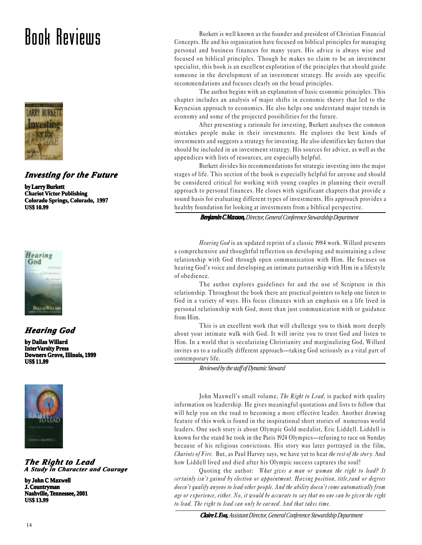# Book Reviews



# *Investing for the Future*

**by Larry Burkett Chariot Victor Publishing Colorado Springs, Colorado, 1997 US\$ 10.99**



# *Hearing God*

**by Dallas Willard InterVarsity Press Downers Grove, Illinois, 1999 US\$ 11.99**



### *The Right to Lead A Study in Character and Courage*

**by John C Maxwell J. Countryman Nashville, Tennessee, 2001 US\$ 13.99**

Burkett is well known as the founder and president of Christian Financial Concepts. He and his organization have focused on biblical principles for managing personal and business finances for many years. His advice is always wise and focused on biblical principles. Though he makes no claim to be an investment specialist, this book is an excellent exploration of the principles that should guide someone in the development of an investment strategy. He avoids any specific recommendations and focuses clearly on the broad principles.

The author begins with an explanation of basic economic principles. This chapter includes an analysis of major shifts in economic theory that led to the Keynesian approach to economics. He also helps one understand major trends in economy and some of the projected possibilities for the future.

After presenting a rationale for investing, Burkett analyses the common mistakes people make in their investments. He explores the best kinds of investments and suggests a strategy for investing. He also identifies key factors that should be included in an investment strategy. His sources for advice, as well as the appendices with lists of resources, are especially helpful.

Burkett divides his recommendations for strategic investing into the major stages of life. This section of the book is especially helpful for anyone and should be considered critical for working with young couples in planning their overall approach to personal finances. He closes with significant chapters that provide a sound basis for evaluating different types of investments. His approach provides a healthy foundation for looking at investments from a biblical perspective.

*Benjamin C Maxson, Benjamin C Director, General Conference Stewardship Department*

Hearing God is an updated reprint of a classic 1984 work. Willard presents a comprehensive and thoughtful reflection on developing and maintaining a close relationship with God through open communication with Him. He focuses on hearing God's voice and developing an intimate partnership with Him in a lifestyle of obedience.

The author explores guidelines for and the use of Scripture in this relationship. Throughout the book there are practical pointers to help one listen to God in a variety of ways. His focus climaxes with an emphasis on a life lived in personal relationship with God, more than just communication with or guidance from Him.

This is an excellent work that will challenge you to think more deeply about your intimate walk with God. It will invite you to trust God and listen to Him. In a world that is secularizing Christianity and marginalizing God, Willard invites us to a radically different approach—taking God seriously as a vital part of contemporary life.

*Reviewed by the staff of Dynamic Steward*

John Maxwell's small volume, The Right to Lead, is packed with quality information on leadership. He gives meaningful quotations and lists to follow that will help you on the road to becoming a more effective leader. Another drawing feature of this work is found in the inspirational short stories of numerous world leaders. One such story is about Olympic Gold medalist, Eric Liddell. Liddell is known for the stand he took in the Paris 1924 Olympics—refusing to race on Sunday because of his religious convictions. His story was later portrayed in the film, Chariots of Fire. But, as Paul Harvey says, we have yet to hear the rest of the story. And how Liddell lived and died after his Olympic success captures the soul!

Quoting the author: What gives a man or woman the right to lead? It certainly isn't gained by election or appointment. Having position, title,rank or degrees doesn't qualify anyone to lead other people. And the ability doesn't come automatically from age or experience, either. No, it would be accurate to say that no one can be given the right to lead. The right to lead can only be earned. And that takes time.

*Claire L Eva,Assistant Director, General Conference Stewardship Department*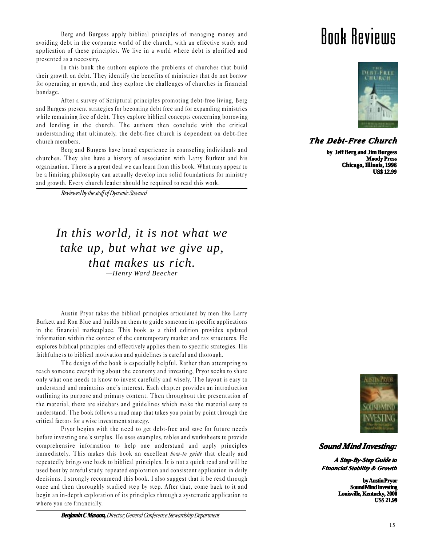Berg and Burgess apply biblical principles of managing money and avoiding debt in the corporate world of the church, with an effective study and application of these principles. We live in a world where debt is glorified and presented as a necessity.

In this book the authors explore the problems of churches that build their growth on debt. They identify the benefits of ministries that do not borrow for operating or growth, and they explore the challenges of churches in financial bondage.

After a survey of Scriptural principles promoting debt-free living, Berg and Burgess present strategies for becoming debt free and for expanding ministries while remaining free of debt. They explore biblical concepts concerning borrowing and lending in the church. The authors then conclude with the critical understanding that ultimately, the debt-free church is dependent on debt-free church members.

Berg and Burgess have broad experience in counseling individuals and churches. They also have a history of association with Larry Burkett and his organization. There is a great deal we can learn from this book. What may appear to be a limiting philosophy can actually develop into solid foundations for ministry and growth. Every church leader should be required to read this work.

*Reviewed by the staff of Dynamic Steward*

*In this world, it is not what we take up, but what we give up, that makes us rich. —Henry Ward Beecher*

Austin Pryor takes the biblical principles articulated by men like Larry Burkett and Ron Blue and builds on them to guide someone in specific applications in the financial marketplace. This book as a third edition provides updated information within the context of the contemporary market and tax structures. He explores biblical principles and effectively applies them to specific strategies. His faithfulness to biblical motivation and guidelines is careful and thorough.

The design of the book is especially helpful. Rather than attempting to teach someone everything about the economy and investing, Pryor seeks to share only what one needs to know to invest carefully and wisely. The layout is easy to understand and maintains one's interest. Each chapter provides an introduction outlining its purpose and primary content. Then throughout the presentation of the material, there are sidebars and guidelines which make the material easy to understand. The book follows a road map that takes you point by point through the critical factors for a wise investment strategy.

Pryor begins with the need to get debt-free and save for future needs before investing one's surplus. He uses examples, tables and worksheets to provide comprehensive information to help one understand and apply principles immediately. This makes this book an excellent *how-to guide* that clearly and repeatedly brings one back to biblical principles. It is not a quick read and will be used best by careful study, repeated exploration and consistent application in daily decisions. I strongly recommend this book. I also suggest that it be read through once and then thoroughly studied step by step. After that, come back to it and begin an in-depth exploration of its principles through a systematic application to where you are financially.

# Book Reviews



# *The Debt-Free Church*

**by Jeff Berg and Jim Burgess Moody Press Chicago, Illinois, 1996 US\$ 12.99**



# *Sound Mind Investing: Investing:*

*A Step-By-Step Guide to Financial Stability & Growth*

> **by Austin Pryor Sound Mind Investing** Louisville, Kentucky, 200 **US\$ 21.99**